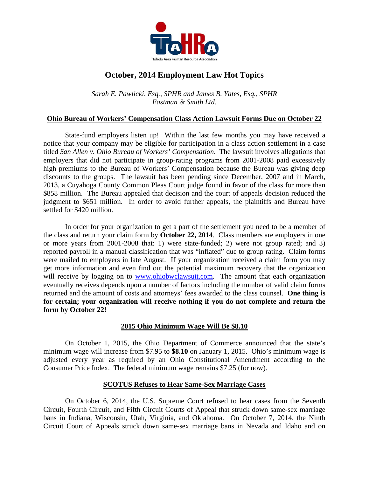

# **October, 2014 Employment Law Hot Topics**

*Sarah E. Pawlicki, Esq., SPHR and James B. Yates, Esq., SPHR Eastman & Smith Ltd.* 

### **Ohio Bureau of Workers' Compensation Class Action Lawsuit Forms Due on October 22**

 State-fund employers listen up! Within the last few months you may have received a notice that your company may be eligible for participation in a class action settlement in a case titled *San Allen v. Ohio Bureau of Workers' Compensation*. The lawsuit involves allegations that employers that did not participate in group-rating programs from 2001-2008 paid excessively high premiums to the Bureau of Workers' Compensation because the Bureau was giving deep discounts to the groups. The lawsuit has been pending since December, 2007 and in March, 2013, a Cuyahoga County Common Pleas Court judge found in favor of the class for more than \$858 million. The Bureau appealed that decision and the court of appeals decision reduced the judgment to \$651 million. In order to avoid further appeals, the plaintiffs and Bureau have settled for \$420 million.

 In order for your organization to get a part of the settlement you need to be a member of the class and return your claim form by **October 22, 2014**. Class members are employers in one or more years from 2001-2008 that: 1) were state-funded; 2) were not group rated; and 3) reported payroll in a manual classification that was "inflated" due to group rating. Claim forms were mailed to employers in late August. If your organization received a claim form you may get more information and even find out the potential maximum recovery that the organization will receive by logging on to www.ohiobwclawsuit.com. The amount that each organization eventually receives depends upon a number of factors including the number of valid claim forms returned and the amount of costs and attorneys' fees awarded to the class counsel. **One thing is for certain; your organization will receive nothing if you do not complete and return the form by October 22!** 

### **2015 Ohio Minimum Wage Will Be \$8.10**

 On October 1, 2015, the Ohio Department of Commerce announced that the state's minimum wage will increase from \$7.95 to **\$8.10** on January 1, 2015. Ohio's minimum wage is adjusted every year as required by an Ohio Constitutional Amendment according to the Consumer Price Index. The federal minimum wage remains \$7.25 (for now).

### **SCOTUS Refuses to Hear Same-Sex Marriage Cases**

 On October 6, 2014, the U.S. Supreme Court refused to hear cases from the Seventh Circuit, Fourth Circuit, and Fifth Circuit Courts of Appeal that struck down same-sex marriage bans in Indiana, Wisconsin, Utah, Virginia, and Oklahoma. On October 7, 2014, the Ninth Circuit Court of Appeals struck down same-sex marriage bans in Nevada and Idaho and on